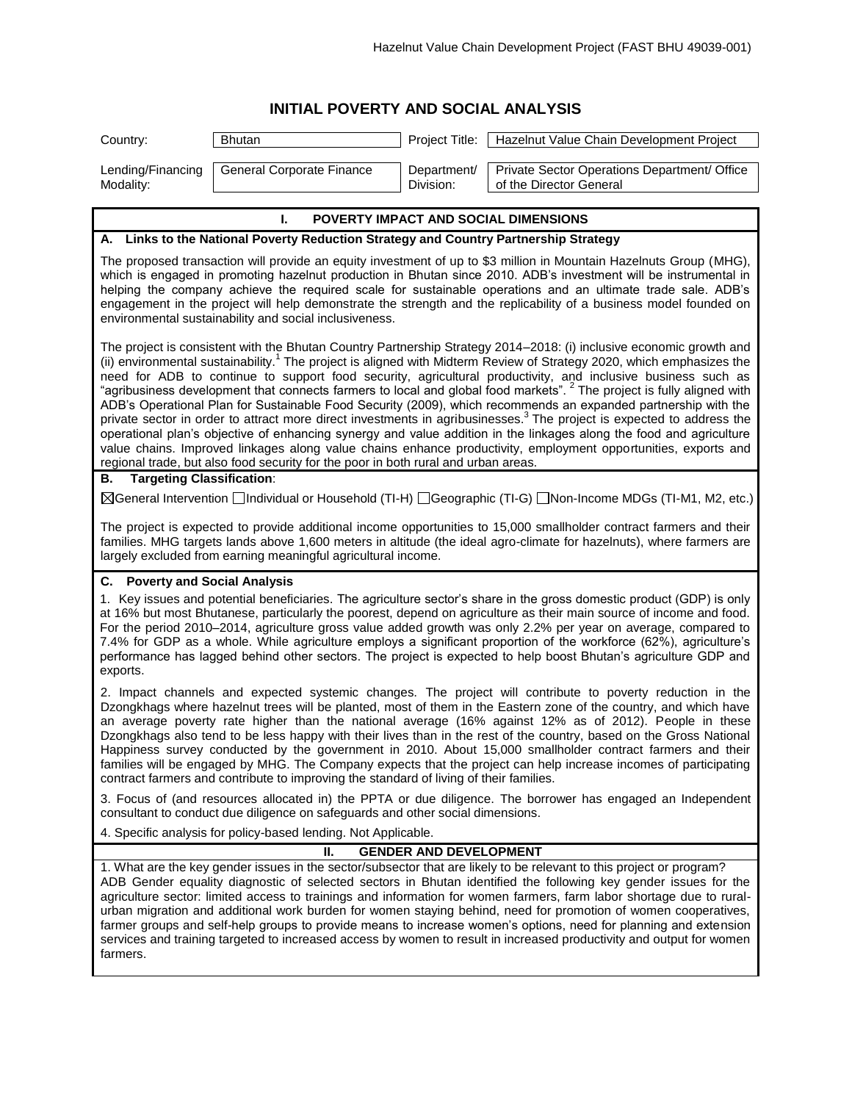## **INITIAL POVERTY AND SOCIAL ANALYSIS**

| Country:                                                                                                                                                                                                                                                                                                                                                                                                                                                                                                                                                                                                          | <b>Bhutan</b>                                                                          | Project Title:                | Hazelnut Value Chain Development Project                                                                                                                                                                                                                                                                                                                                                                                                                                                                                                                                                                                                                                                                                                                                                                                                                                                                                                                                                                      |
|-------------------------------------------------------------------------------------------------------------------------------------------------------------------------------------------------------------------------------------------------------------------------------------------------------------------------------------------------------------------------------------------------------------------------------------------------------------------------------------------------------------------------------------------------------------------------------------------------------------------|----------------------------------------------------------------------------------------|-------------------------------|---------------------------------------------------------------------------------------------------------------------------------------------------------------------------------------------------------------------------------------------------------------------------------------------------------------------------------------------------------------------------------------------------------------------------------------------------------------------------------------------------------------------------------------------------------------------------------------------------------------------------------------------------------------------------------------------------------------------------------------------------------------------------------------------------------------------------------------------------------------------------------------------------------------------------------------------------------------------------------------------------------------|
| Lending/Financing<br>Modality:                                                                                                                                                                                                                                                                                                                                                                                                                                                                                                                                                                                    | General Corporate Finance                                                              | Department/<br>Division:      | Private Sector Operations Department/ Office<br>of the Director General                                                                                                                                                                                                                                                                                                                                                                                                                                                                                                                                                                                                                                                                                                                                                                                                                                                                                                                                       |
|                                                                                                                                                                                                                                                                                                                                                                                                                                                                                                                                                                                                                   | т.                                                                                     |                               | POVERTY IMPACT AND SOCIAL DIMENSIONS                                                                                                                                                                                                                                                                                                                                                                                                                                                                                                                                                                                                                                                                                                                                                                                                                                                                                                                                                                          |
|                                                                                                                                                                                                                                                                                                                                                                                                                                                                                                                                                                                                                   | A. Links to the National Poverty Reduction Strategy and Country Partnership Strategy   |                               |                                                                                                                                                                                                                                                                                                                                                                                                                                                                                                                                                                                                                                                                                                                                                                                                                                                                                                                                                                                                               |
|                                                                                                                                                                                                                                                                                                                                                                                                                                                                                                                                                                                                                   | environmental sustainability and social inclusiveness.                                 |                               | The proposed transaction will provide an equity investment of up to \$3 million in Mountain Hazelnuts Group (MHG),<br>which is engaged in promoting hazelnut production in Bhutan since 2010. ADB's investment will be instrumental in<br>helping the company achieve the required scale for sustainable operations and an ultimate trade sale. ADB's<br>engagement in the project will help demonstrate the strength and the replicability of a business model founded on                                                                                                                                                                                                                                                                                                                                                                                                                                                                                                                                    |
|                                                                                                                                                                                                                                                                                                                                                                                                                                                                                                                                                                                                                   | regional trade, but also food security for the poor in both rural and urban areas.     |                               | The project is consistent with the Bhutan Country Partnership Strategy 2014-2018: (i) inclusive economic growth and<br>(ii) environmental sustainability. <sup>1</sup> The project is aligned with Midterm Review of Strategy 2020, which emphasizes the<br>need for ADB to continue to support food security, agricultural productivity, and inclusive business such as<br>"agribusiness development that connects farmers to local and global food markets". <sup>2</sup> The project is fully aligned with<br>ADB's Operational Plan for Sustainable Food Security (2009), which recommends an expanded partnership with the<br>private sector in order to attract more direct investments in agribusinesses. <sup>3</sup> The project is expected to address the<br>operational plan's objective of enhancing synergy and value addition in the linkages along the food and agriculture<br>value chains. Improved linkages along value chains enhance productivity, employment opportunities, exports and |
| <b>Targeting Classification:</b><br>В.                                                                                                                                                                                                                                                                                                                                                                                                                                                                                                                                                                            |                                                                                        |                               |                                                                                                                                                                                                                                                                                                                                                                                                                                                                                                                                                                                                                                                                                                                                                                                                                                                                                                                                                                                                               |
|                                                                                                                                                                                                                                                                                                                                                                                                                                                                                                                                                                                                                   |                                                                                        |                               | ⊠General Intervention □Individual or Household (TI-H) □Geographic (TI-G) □Non-Income MDGs (TI-M1, M2, etc.)                                                                                                                                                                                                                                                                                                                                                                                                                                                                                                                                                                                                                                                                                                                                                                                                                                                                                                   |
|                                                                                                                                                                                                                                                                                                                                                                                                                                                                                                                                                                                                                   | largely excluded from earning meaningful agricultural income.                          |                               | The project is expected to provide additional income opportunities to 15,000 smallholder contract farmers and their<br>families. MHG targets lands above 1,600 meters in altitude (the ideal agro-climate for hazelnuts), where farmers are                                                                                                                                                                                                                                                                                                                                                                                                                                                                                                                                                                                                                                                                                                                                                                   |
| C. Poverty and Social Analysis                                                                                                                                                                                                                                                                                                                                                                                                                                                                                                                                                                                    |                                                                                        |                               |                                                                                                                                                                                                                                                                                                                                                                                                                                                                                                                                                                                                                                                                                                                                                                                                                                                                                                                                                                                                               |
| 1. Key issues and potential beneficiaries. The agriculture sector's share in the gross domestic product (GDP) is only<br>at 16% but most Bhutanese, particularly the poorest, depend on agriculture as their main source of income and food.<br>For the period 2010–2014, agriculture gross value added growth was only 2.2% per year on average, compared to<br>7.4% for GDP as a whole. While agriculture employs a significant proportion of the workforce (62%), agriculture's<br>performance has lagged behind other sectors. The project is expected to help boost Bhutan's agriculture GDP and<br>exports. |                                                                                        |                               |                                                                                                                                                                                                                                                                                                                                                                                                                                                                                                                                                                                                                                                                                                                                                                                                                                                                                                                                                                                                               |
|                                                                                                                                                                                                                                                                                                                                                                                                                                                                                                                                                                                                                   | contract farmers and contribute to improving the standard of living of their families. |                               | 2. Impact channels and expected systemic changes. The project will contribute to poverty reduction in the<br>Dzongkhags where hazelnut trees will be planted, most of them in the Eastern zone of the country, and which have<br>an average poverty rate higher than the national average (16% against 12% as of 2012). People in these<br>Dzongkhags also tend to be less happy with their lives than in the rest of the country, based on the Gross National<br>Happiness survey conducted by the government in 2010. About 15,000 smallholder contract farmers and their<br>families will be engaged by MHG. The Company expects that the project can help increase incomes of participating                                                                                                                                                                                                                                                                                                               |
|                                                                                                                                                                                                                                                                                                                                                                                                                                                                                                                                                                                                                   | consultant to conduct due diligence on safeguards and other social dimensions.         |                               | 3. Focus of (and resources allocated in) the PPTA or due diligence. The borrower has engaged an Independent                                                                                                                                                                                                                                                                                                                                                                                                                                                                                                                                                                                                                                                                                                                                                                                                                                                                                                   |
|                                                                                                                                                                                                                                                                                                                                                                                                                                                                                                                                                                                                                   | 4. Specific analysis for policy-based lending. Not Applicable.                         |                               |                                                                                                                                                                                                                                                                                                                                                                                                                                                                                                                                                                                                                                                                                                                                                                                                                                                                                                                                                                                                               |
| farmers.                                                                                                                                                                                                                                                                                                                                                                                                                                                                                                                                                                                                          | н.                                                                                     | <b>GENDER AND DEVELOPMENT</b> | 1. What are the key gender issues in the sector/subsector that are likely to be relevant to this project or program?<br>ADB Gender equality diagnostic of selected sectors in Bhutan identified the following key gender issues for the<br>agriculture sector: limited access to trainings and information for women farmers, farm labor shortage due to rural-<br>urban migration and additional work burden for women staying behind, need for promotion of women cooperatives,<br>farmer groups and self-help groups to provide means to increase women's options, need for planning and extension<br>services and training targeted to increased access by women to result in increased productivity and output for women                                                                                                                                                                                                                                                                                 |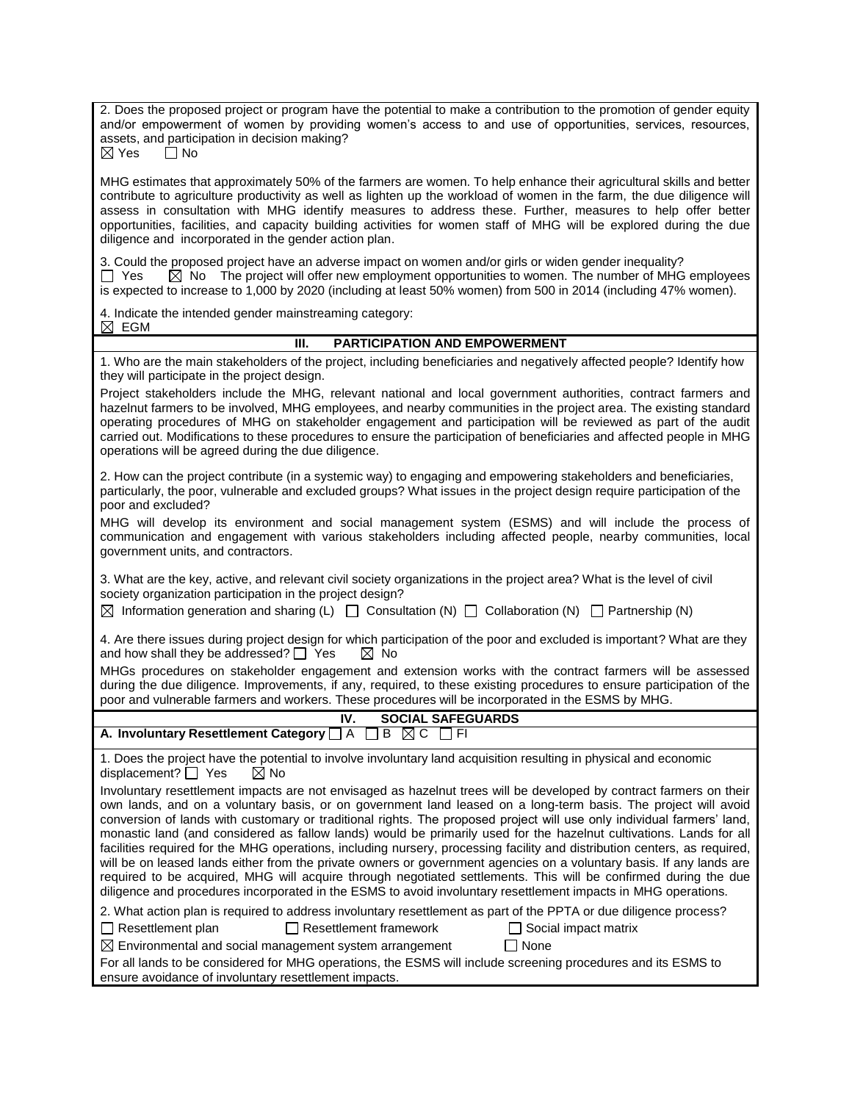2. Does the proposed project or program have the potential to make a contribution to the promotion of gender equity and/or empowerment of women by providing women's access to and use of opportunities, services, resources, assets, and participation in decision making?<br> $\boxtimes$  Yes  $\qquad \square$  No  $\Box$  No

MHG estimates that approximately 50% of the farmers are women. To help enhance their agricultural skills and better contribute to agriculture productivity as well as lighten up the workload of women in the farm, the due diligence will assess in consultation with MHG identify measures to address these. Further, measures to help offer better opportunities, facilities, and capacity building activities for women staff of MHG will be explored during the due diligence and incorporated in the gender action plan.

3. Could the proposed project have an adverse impact on women and/or girls or widen gender inequality?  $\Box$  Yes  $\boxtimes$  No The project will offer new employment opportunities to women. The number of MHG employees is expected to increase to 1,000 by 2020 (including at least 50% women) from 500 in 2014 (including 47% women).

4. Indicate the intended gender mainstreaming category:  $\boxtimes$  EGM

## **III. PARTICIPATION AND EMPOWERMENT**

1. Who are the main stakeholders of the project, including beneficiaries and negatively affected people? Identify how they will participate in the project design.

Project stakeholders include the MHG, relevant national and local government authorities, contract farmers and hazelnut farmers to be involved, MHG employees, and nearby communities in the project area. The existing standard operating procedures of MHG on stakeholder engagement and participation will be reviewed as part of the audit carried out. Modifications to these procedures to ensure the participation of beneficiaries and affected people in MHG operations will be agreed during the due diligence.

2. How can the project contribute (in a systemic way) to engaging and empowering stakeholders and beneficiaries, particularly, the poor, vulnerable and excluded groups? What issues in the project design require participation of the poor and excluded?

MHG will develop its environment and social management system (ESMS) and will include the process of communication and engagement with various stakeholders including affected people, nearby communities, local government units, and contractors.

3. What are the key, active, and relevant civil society organizations in the project area? What is the level of civil society organization participation in the project design?

 $\boxtimes$  Information generation and sharing (L)  $\Box$  Consultation (N)  $\Box$  Collaboration (N)  $\Box$  Partnership (N)

4. Are there issues during project design for which participation of the poor and excluded is important? What are they and how shall they be addressed?  $\Box$  Yes  $\boxtimes$  No

MHGs procedures on stakeholder engagement and extension works with the contract farmers will be assessed during the due diligence. Improvements, if any, required, to these existing procedures to ensure participation of the poor and vulnerable farmers and workers. These procedures will be incorporated in the ESMS by MHG.

| <b>SOCIAL SAFEGUARDS</b><br>IV.                                                                                                                                                                                                                                                                                                                                                                                                                                                                                                                                                                                                                                                                                                                                                                                                                                |
|----------------------------------------------------------------------------------------------------------------------------------------------------------------------------------------------------------------------------------------------------------------------------------------------------------------------------------------------------------------------------------------------------------------------------------------------------------------------------------------------------------------------------------------------------------------------------------------------------------------------------------------------------------------------------------------------------------------------------------------------------------------------------------------------------------------------------------------------------------------|
| A. Involuntary Resettlement Category $\Box$ A $\Box$ B $\boxtimes$ C $\Box$ FI                                                                                                                                                                                                                                                                                                                                                                                                                                                                                                                                                                                                                                                                                                                                                                                 |
| 1. Does the project have the potential to involve involuntary land acquisition resulting in physical and economic<br>$displacement? \mid \mid Yes$<br>$\boxtimes$ No                                                                                                                                                                                                                                                                                                                                                                                                                                                                                                                                                                                                                                                                                           |
| Involuntary resettlement impacts are not envisaged as hazelnut trees will be developed by contract farmers on their<br>own lands, and on a voluntary basis, or on government land leased on a long-term basis. The project will avoid<br>conversion of lands with customary or traditional rights. The proposed project will use only individual farmers' land,<br>monastic land (and considered as fallow lands) would be primarily used for the hazelnut cultivations. Lands for all<br>facilities required for the MHG operations, including nursery, processing facility and distribution centers, as required,<br>will be on leased lands either from the private owners or government agencies on a voluntary basis. If any lands are<br>required to be acquired, MHG will acquire through negotiated settlements. This will be confirmed during the due |

diligence and procedures incorporated in the ESMS to avoid involuntary resettlement impacts in MHG operations. 2. What action plan is required to address involuntary resettlement as part of the PPTA or due diligence process?

 $\Box$  Resettlement plan  $\Box$  Resettlement framework  $\Box$  Social impact matrix

|  | $\boxtimes$ Environmental and social management system arrangement | $\Box$ None |
|--|--------------------------------------------------------------------|-------------|
|--|--------------------------------------------------------------------|-------------|

For all lands to be considered for MHG operations, the ESMS will include screening procedures and its ESMS to ensure avoidance of involuntary resettlement impacts.